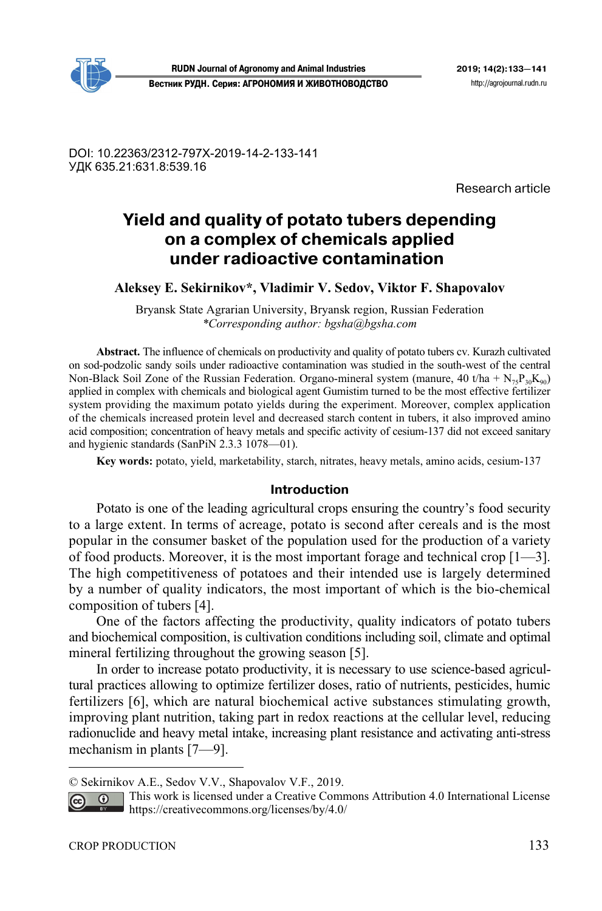DOI: 10.22363/2312-797X-2019-14-2-133-141 УДК 635.21:631.8:539.16

Research article

# **Yield and quality of potato tubers depending on a complex of chemicals applied under radioactive contamination1**

**Aleksey E. Sekirnikov\*, Vladimir V. Sedov, Viktor F. Shapovalov** 

Bryansk State Agrarian University, Bryansk region, Russian Federation *\*Corresponding author: bgsha@bgsha.com*

**Abstract.** The influence of chemicals on productivity and quality of potato tubers cv. Kurazh cultivated on sod-podzolic sandy soils under radioactive contamination was studied in the south-west of the central Non-Black Soil Zone of the Russian Federation. Organo-mineral system (manure, 40 t/ha +  $N_{75}P_{30}K_{90}$ ) applied in complex with chemicals and biological agent Gumistim turned to be the most effective fertilizer system providing the maximum potato yields during the experiment. Moreover, complex application of the chemicals increased protein level and decreased starch content in tubers, it also improved amino acid composition; concentration of heavy metals and specific activity of cesium-137 did not exceed sanitary and hygienic standards (SanPiN 2.3.3 1078—01).

**Key words:** potato, yield, marketability, starch, nitrates, heavy metals, amino acids, cesium-137

## **Introduction**

Potato is one of the leading agricultural crops ensuring the country's food security to a large extent. In terms of acreage, potato is second after cereals and is the most popular in the consumer basket of the population used for the production of a variety of food products. Moreover, it is the most important forage and technical crop  $[1-\overline{3}]$ . The high competitiveness of potatoes and their intended use is largely determined by a number of quality indicators, the most important of which is the bio-chemical composition of tubers [4].

One of the factors affecting the productivity, quality indicators of potato tubers and biochemical composition, is cultivation conditions including soil, climate and optimal mineral fertilizing throughout the growing season [5].

In order to increase potato productivity, it is necessary to use science-based agricultural practices allowing to optimize fertilizer doses, ratio of nutrients, pesticides, humic fertilizers [6], which are natural biochemical active substances stimulating growth, improving plant nutrition, taking part in redox reactions at the cellular level, reducing radionuclide and heavy metal intake, increasing plant resistance and activating anti-stress mechanism in plants [7—9].

 $\overline{a}$ 

<sup>©</sup> Sekirnikov A.E., Sedov V.V., Shapovalov V.F., 2019.

This work is licensed under a Creative Commons Attribution 4.0 International License  $\overline{G}$ https://creativecommons.org/licenses/by/4.0/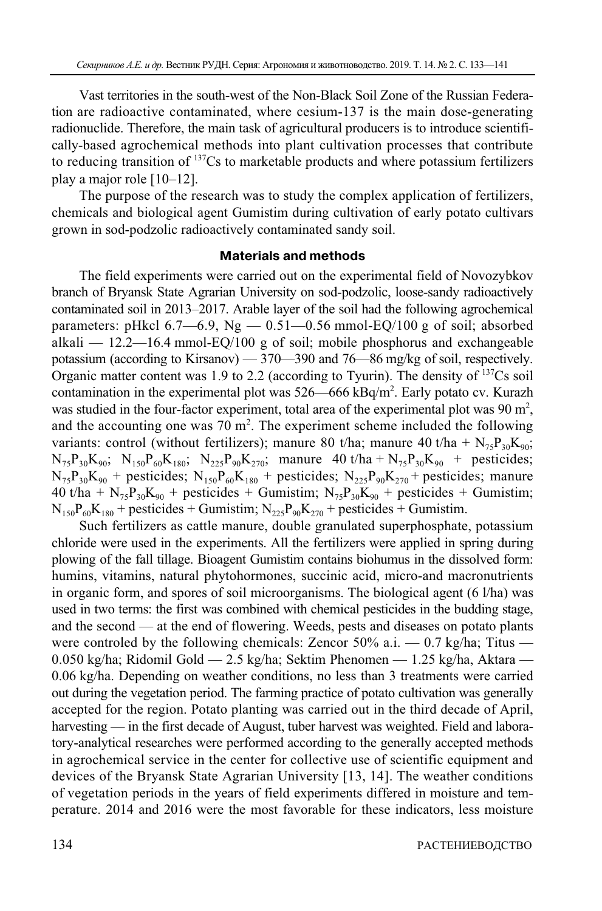Vast territories in the south-west of the Non-Black Soil Zone of the Russian Federation are radioactive contaminated, where cesium-137 is the main dose-generating radionuclide. Therefore, the main task of agricultural producers is to introduce scientifically-based agrochemical methods into plant cultivation processes that contribute to reducing transition of 137Cs to marketable products and where potassium fertilizers play a major role [10–12].

The purpose of the research was to study the complex application of fertilizers, chemicals and biological agent Gumistim during cultivation of early potato cultivars grown in sod-podzolic radioactively contaminated sandy soil.

#### **Materials and methods**

The field experiments were carried out on the experimental field of Novozybkov branch of Bryansk State Agrarian University on sod-podzolic, loose-sandy radioactively contaminated soil in 2013–2017. Arable layer of the soil had the following agrochemical parameters: pHkcl 6.7—6.9, Ng — 0.51—0.56 mmol-EQ/100 g of soil; absorbed alkali — 12.2—16.4 mmol-EQ/100 g of soil; mobile phosphorus and exchangeable potassium (according to Kirsanov) — 370—390 and 76—86 mg/kg of soil, respectively. Organic matter content was 1.9 to 2.2 (according to Tyurin). The density of  $137Cs$  soil contamination in the experimental plot was  $526 - 666$  kBq/m<sup>2</sup>. Early potato cv. Kurazh was studied in the four-factor experiment, total area of the experimental plot was  $90 \text{ m}^2$ , and the accounting one was  $70 \text{ m}^2$ . The experiment scheme included the following variants: control (without fertilizers); manure 80 t/ha; manure 40 t/ha +  $N_{75}P_{30}K_{90}$ ;  $N_{75}P_{30}K_{90}$ ;  $N_{150}P_{60}K_{180}$ ;  $N_{225}P_{90}K_{270}$ ; manure 40 t/ha +  $N_{75}P_{30}K_{90}$  + pesticides;  $N_{75}P_{30}K_{90}$  + pesticides;  $N_{150}P_{60}K_{180}$  + pesticides;  $N_{225}P_{90}K_{270}$  + pesticides; manure 40 t/ha +  $N_{75}P_{30}K_{90}$  + pesticides + Gumistim;  $N_{75}P_{30}K_{90}$  + pesticides + Gumistim;  $N_{150}P_{60}K_{180}$  + pesticides + Gumistim;  $N_{225}P_{90}K_{270}$  + pesticides + Gumistim.

Such fertilizers as cattle manure, double granulated superphosphate, potassium chloride were used in the experiments. All the fertilizers were applied in spring during plowing of the fall tillage. Bioagent Gumistim contains biohumus in the dissolved form: humins, vitamins, natural phytohormones, succinic acid, micro-and macronutrients in organic form, and spores of soil microorganisms. The biological agent (6 l/ha) was used in two terms: the first was combined with chemical pesticides in the budding stage, and the second — at the end of flowering. Weeds, pests and diseases on potato plants were controled by the following chemicals: Zencor  $50\%$  a.i.  $-0.7$  kg/ha; Titus  $-$ 0.050 kg/ha; Ridomil Gold — 2.5 kg/ha; Sektim Phenomen — 1.25 kg/ha, Aktara — 0.06 kg/ha. Depending on weather conditions, no less than 3 treatments were carried out during the vegetation period. The farming practice of potato cultivation was generally accepted for the region. Potato planting was carried out in the third decade of April, harvesting — in the first decade of August, tuber harvest was weighted. Field and laboratory-analytical researches were performed according to the generally accepted methods in agrochemical service in the center for collective use of scientific equipment and devices of the Bryansk State Agrarian University [13, 14]. The weather conditions of vegetation periods in the years of field experiments differed in moisture and temperature. 2014 and 2016 were the most favorable for these indicators, less moisture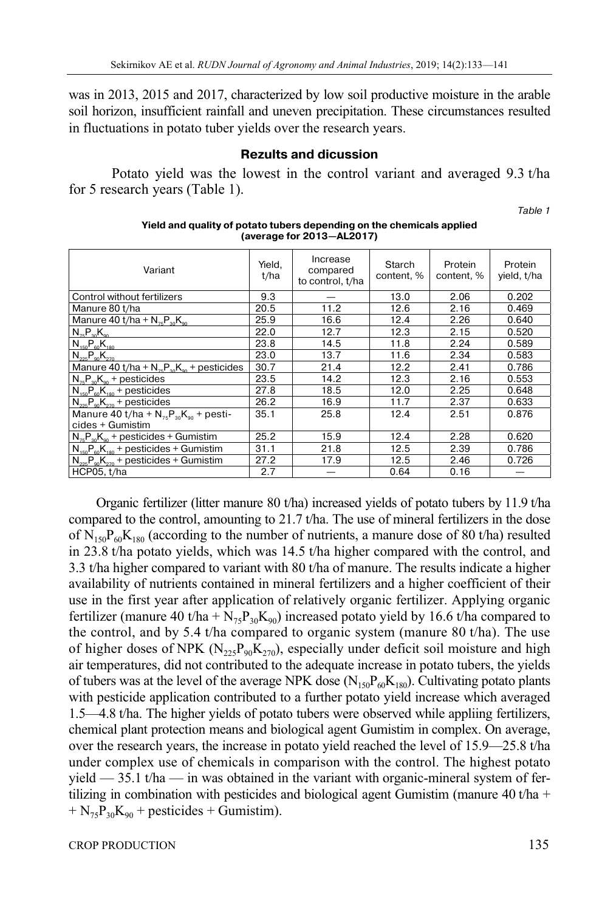was in 2013, 2015 and 2017, characterized by low soil productive moisture in the arable soil horizon, insufficient rainfall and uneven precipitation. These circumstances resulted in fluctuations in potato tuber yields over the research years.

## **Rezults and dicussion**

Potato yield was the lowest in the control variant and averaged 9.3 t/ha for 5 research years (Table 1).

Table 1

| Variant                                                            | Yield,<br>t/ha | Increase<br>compared<br>to control, t/ha | Starch<br>content, % | Protein<br>content, % | Protein<br>yield, t/ha |
|--------------------------------------------------------------------|----------------|------------------------------------------|----------------------|-----------------------|------------------------|
| Control without fertilizers                                        | 9.3            |                                          | 13.0                 | 2.06                  | 0.202                  |
| Manure 80 t/ha                                                     | 20.5           | 11.2                                     | 12.6                 | 2.16                  | 0.469                  |
| Manure 40 t/ha + $N_{75}P_{30}K_{90}$                              | 25.9           | 16.6                                     | 12.4                 | 2.26                  | 0.640                  |
| $N_{75}P_{30}K_{90}$                                               | 22.0           | 12.7                                     | 12.3                 | 2.15                  | 0.520                  |
| $N_{150}P_{60}K_{180}$                                             | 23.8           | 14.5                                     | 11.8                 | 2.24                  | 0.589                  |
| $N_{225}P_{90}K_{270}$                                             | 23.0           | 13.7                                     | 11.6                 | 2.34                  | 0.583                  |
| Manure 40 t/ha + $N_{75}P_{30}K_{90}$ + pesticides                 | 30.7           | 21.4                                     | 12.2                 | 2.41                  | 0.786                  |
| $N_{\tau_{\rm B}}P_{\tau_{\rm 20}}K_{\rm oo}$ + pesticides         | 23.5           | 14.2                                     | 12.3                 | 2.16                  | 0.553                  |
| $N_{150}P_{60}K_{180}$ + pesticides                                | 27.8           | 18.5                                     | 12.0                 | 2.25                  | 0.648                  |
| $N_{225}P_{90}K_{270}$ + pesticides                                | 26.2           | 16.9                                     | 11.7                 | 2.37                  | 0.633                  |
| Manure 40 t/ha + $N_{75}P_{30}K_{90}$ + pesti-<br>cides + Gumistim | 35.1           | 25.8                                     | 12.4                 | 2.51                  | 0.876                  |
| $N_{75}P_{30}K_{90}$ + pesticides + Gumistim                       | 25.2           | 15.9                                     | 12.4                 | 2.28                  | 0.620                  |
| $N_{150}P_{60}K_{180}$ + pesticides + Gumistim                     | 31.1           | 21.8                                     | 12.5                 | 2.39                  | 0.786                  |
| $N_{\gamma_{25}}P_{\omega}K_{\gamma_{70}}$ + pesticides + Gumistim | 27.2           | 17.9                                     | 12.5                 | 2.46                  | 0.726                  |
| HCP05, t/ha                                                        | 2.7            |                                          | 0.64                 | 0.16                  |                        |

#### **Yield and quality of potato tubers depending on the chemicals applied (average for 2013—AL2017)**

Organic fertilizer (litter manure 80 t/ha) increased yields of potato tubers by 11.9 t/ha compared to the control, amounting to 21.7 t/ha. The use of mineral fertilizers in the dose of  $N_{150}P_{60}K_{180}$  (according to the number of nutrients, a manure dose of 80 t/ha) resulted in 23.8 t/ha potato yields, which was 14.5 t/ha higher compared with the control, and 3.3 t/ha higher compared to variant with 80 t/ha of manure. The results indicate a higher availability of nutrients contained in mineral fertilizers and a higher coefficient of their use in the first year after application of relatively organic fertilizer. Applying organic fertilizer (manure 40 t/ha +  $N_{75}P_{30}K_{90}$ ) increased potato yield by 16.6 t/ha compared to the control, and by 5.4 t/ha compared to organic system (manure 80 t/ha). The use of higher doses of NPK ( $N_{225}P_{90}K_{270}$ ), especially under deficit soil moisture and high air temperatures, did not contributed to the adequate increase in potato tubers, the yields of tubers was at the level of the average NPK dose  $(N_{150}P_{60}K_{180})$ . Cultivating potato plants with pesticide application contributed to a further potato yield increase which averaged 1.5—4.8 t/ha. The higher yields of potato tubers were observed while appliing fertilizers, chemical plant protection means and biological agent Gumistim in complex. On average, over the research years, the increase in potato yield reached the level of 15.9—25.8 t/ha under complex use of chemicals in comparison with the control. The highest potato yield  $-35.1$  t/ha  $-$  in was obtained in the variant with organic-mineral system of fertilizing in combination with pesticides and biological agent Gumistim (manure 40 t/ha +  $+ N_{75}P_{30}K_{90}$  + pesticides + Gumistim).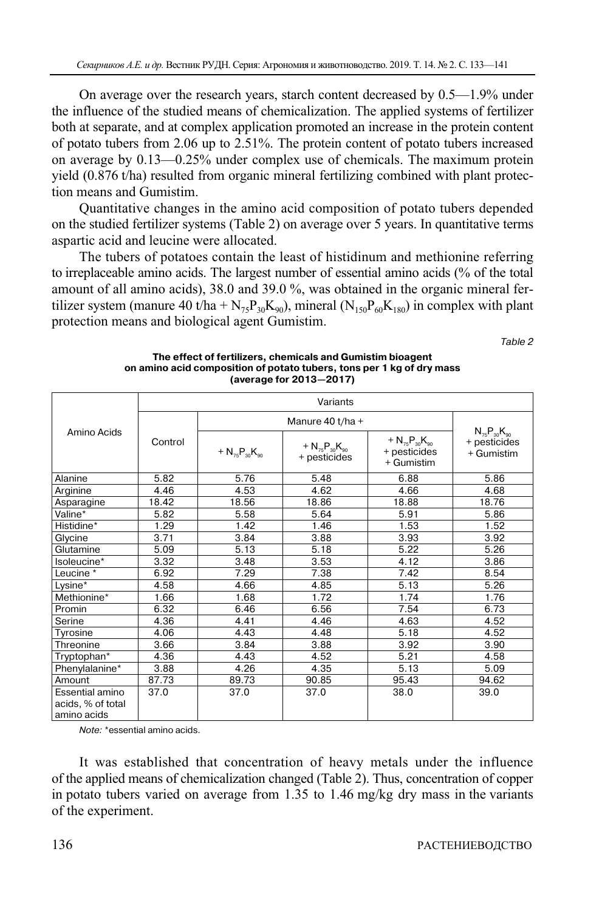On average over the research years, starch content decreased by 0.5—1.9% under the influence of the studied means of chemicalization. The applied systems of fertilizer both at separate, and at complex application promoted an increase in the protein content of potato tubers from 2.06 up to 2.51%. The protein content of potato tubers increased on average by 0.13—0.25% under complex use of chemicals. The maximum protein yield (0.876 t/ha) resulted from organic mineral fertilizing combined with plant protection means and Gumistim.

Quantitative changes in the amino acid composition of potato tubers depended on the studied fertilizer systems (Table 2) on average over 5 years. In quantitative terms aspartic acid and leucine were allocated.

The tubers of potatoes contain the least of histidinum and methionine referring to irreplaceable amino acids. The largest number of essential amino acids (% of the total amount of all amino acids), 38.0 and 39.0 %, was obtained in the organic mineral fertilizer system (manure 40 t/ha +  $N_{75}P_{30}K_{90}$ ), mineral ( $N_{150}P_{60}K_{180}$ ) in complex with plant protection means and biological agent Gumistim.

Table 2

|                                                     | Variants |                        |                                        |                                                      |                                                    |  |  |  |
|-----------------------------------------------------|----------|------------------------|----------------------------------------|------------------------------------------------------|----------------------------------------------------|--|--|--|
| Amino Acids                                         |          |                        |                                        |                                                      |                                                    |  |  |  |
|                                                     | Control  | + $N_{75}P_{30}K_{90}$ | + $N_{75}P_{30}K_{90}$<br>+ pesticides | + $N_{75}P_{30}K_{90}$<br>+ pesticides<br>+ Gumistim | $N_{75}P_{30}K_{90}$<br>+ pesticides<br>+ Gumistim |  |  |  |
| Alanine                                             | 5.82     | 5.76                   | 5.48                                   | 6.88                                                 | 5.86                                               |  |  |  |
| Arginine                                            | 4.46     | 4.53                   | 4.62                                   | 4.66                                                 | 4.68                                               |  |  |  |
| Asparagine                                          | 18.42    | 18.56                  | 18.86                                  | 18.88                                                | 18.76                                              |  |  |  |
| Valine*                                             | 5.82     | 5.58                   | 5.64                                   | 5.91                                                 | 5.86                                               |  |  |  |
| Histidine*                                          | 1.29     | 1.42                   | 1.46                                   | 1.53                                                 | 1.52                                               |  |  |  |
| Glycine                                             | 3.71     | 3.84                   | 3.88                                   | 3.93                                                 | 3.92                                               |  |  |  |
| Glutamine                                           | 5.09     | 5.13                   | 5.18                                   | 5.22                                                 | 5.26                                               |  |  |  |
| Isoleucine*                                         | 3.32     | 3.48                   | 3.53                                   | 4.12                                                 | 3.86                                               |  |  |  |
| Leucine <sup>*</sup>                                | 6.92     | 7.29                   | 7.38                                   | 7.42                                                 | 8.54                                               |  |  |  |
| Lysine $\overline{ }$                               | 4.58     | 4.66                   | 4.85                                   | 5.13                                                 | 5.26                                               |  |  |  |
| Methionine*                                         | 1.66     | 1.68                   | 1.72                                   | 1.74                                                 | 1.76                                               |  |  |  |
| Promin                                              | 6.32     | 6.46                   | 6.56                                   | 7.54                                                 | 6.73                                               |  |  |  |
| Serine                                              | 4.36     | 4.41                   | 4.46                                   | 4.63                                                 | 4.52                                               |  |  |  |
| Tyrosine                                            | 4.06     | 4.43                   | 4.48                                   | 5.18                                                 | 4.52                                               |  |  |  |
| Threonine                                           | 3.66     | 3.84                   | 3.88                                   | 3.92                                                 | 3.90                                               |  |  |  |
| Tryptophan*                                         | 4.36     | 4.43                   | 4.52                                   | 5.21                                                 | 4.58                                               |  |  |  |
| Phenylalanine*                                      | 3.88     | 4.26                   | 4.35                                   | 5.13                                                 | 5.09                                               |  |  |  |
| Amount                                              | 87.73    | 89.73                  | 90.85                                  | 95.43                                                | 94.62                                              |  |  |  |
| Essential amino<br>acids, % of total<br>amino acids | 37.0     | 37.0                   | 37.0                                   | 38.0                                                 | 39.0                                               |  |  |  |

**The effect of fertilizers, chemicals and Gumistim bioagent on amino acid composition of potato tubers, tons per 1 kg of dry mass (average for 2013—2017)** 

Note: \*essential amino acids.

It was established that concentration of heavy metals under the influence of the applied means of chemicalization changed (Table 2). Thus, concentration of copper in potato tubers varied on average from 1.35 to 1.46 mg/kg dry mass in the variants of the experiment.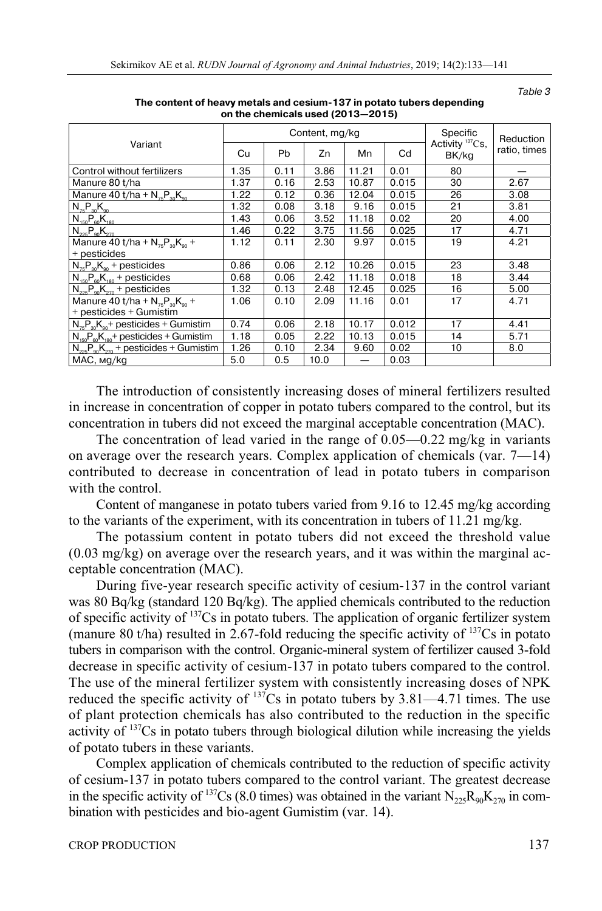|                                                       | Content, mg/kg |           |      |       |       | <b>Specific</b>             | Reduction    |
|-------------------------------------------------------|----------------|-----------|------|-------|-------|-----------------------------|--------------|
| Variant                                               | Cu             | <b>Pb</b> | Zn   | Mn    | Cd    | Activity $137Cs$ ,<br>BK/kg | ratio, times |
| Control without fertilizers                           | 1.35           | 0.11      | 3.86 | 11.21 | 0.01  | 80                          |              |
| Manure 80 t/ha                                        | 1.37           | 0.16      | 2.53 | 10.87 | 0.015 | 30                          | 2.67         |
| Manure 40 t/ha + $N_{75}P_{30}K_{90}$                 | 1.22           | 0.12      | 0.36 | 12.04 | 0.015 | 26                          | 3.08         |
| $N_{75}P_{30}K_{90}$                                  | 1.32           | 0.08      | 3.18 | 9.16  | 0.015 | 21                          | 3.81         |
| $N_{150}P_{60}K_{180}$                                | 1.43           | 0.06      | 3.52 | 11.18 | 0.02  | 20                          | 4.00         |
| $N_{225}P_{90}K_{270}$                                | 1.46           | 0.22      | 3.75 | 11.56 | 0.025 | 17                          | 4.71         |
| Manure 40 t/ha + $N_{75}P_{20}K_{00}$ +               | 1.12           | 0.11      | 2.30 | 9.97  | 0.015 | 19                          | 4.21         |
| + pesticides                                          |                |           |      |       |       |                             |              |
| $N_{75}P_{30}K_{90}$ + pesticides                     | 0.86           | 0.06      | 2.12 | 10.26 | 0.015 | 23                          | 3.48         |
| $N_{150}P_{60}K_{180}$ + pesticides                   | 0.68           | 0.06      | 2.42 | 11.18 | 0.018 | 18                          | 3.44         |
| $N_{225}P_{90}K_{270}$ + pesticides                   | 1.32           | 0.13      | 2.48 | 12.45 | 0.025 | 16                          | 5.00         |
| Manure 40 t/ha + $N_{\rm z}P_{\rm m}K_{\rm m}$ +      | 1.06           | 0.10      | 2.09 | 11.16 | 0.01  | 17                          | 4.71         |
| + pesticides + Gumistim                               |                |           |      |       |       |                             |              |
| $N_{\pi}P_{\infty}K_{\infty}$ + pesticides + Gumistim | 0.74           | 0.06      | 2.18 | 10.17 | 0.012 | 17                          | 4.41         |
| $N_{150}P_{60}K_{180}$ + pesticides + Gumistim        | 1.18           | 0.05      | 2.22 | 10.13 | 0.015 | 14                          | 5.71         |
| $N_{225}P_{90}K_{270}$ + pesticides + Gumistim        | 1.26           | 0.10      | 2.34 | 9.60  | 0.02  | 10                          | 8.0          |
| MAC, mg/kg                                            | 5.0            | 0.5       | 10.0 |       | 0.03  |                             |              |

**The content of heavy metals and cesium-137 in potato tubers depending on the chemicals used (2013—2015)** 

The introduction of consistently increasing doses of mineral fertilizers resulted in increase in concentration of copper in potato tubers compared to the control, but its concentration in tubers did not exceed the marginal acceptable concentration (MAC).

The concentration of lead varied in the range of 0.05—0.22 mg/kg in variants on average over the research years. Complex application of chemicals (var. 7—14) contributed to decrease in concentration of lead in potato tubers in comparison with the control.

Content of manganese in potato tubers varied from 9.16 to 12.45 mg/kg according to the variants of the experiment, with its concentration in tubers of 11.21 mg/kg.

The potassium content in potato tubers did not exceed the threshold value (0.03 mg/kg) on average over the research years, and it was within the marginal acceptable concentration (MAC).

During five-year research specific activity of cesium-137 in the control variant was 80 Bq/kg (standard 120 Bq/kg). The applied chemicals contributed to the reduction of specific activity of 137Cs in potato tubers. The application of organic fertilizer system (manure 80 t/ha) resulted in 2.67-fold reducing the specific activity of  $137Cs$  in potato tubers in comparison with the control. Organic-mineral system of fertilizer caused 3-fold decrease in specific activity of cesium-137 in potato tubers compared to the control. The use of the mineral fertilizer system with consistently increasing doses of NPK reduced the specific activity of  $137$ Cs in potato tubers by 3.81—4.71 times. The use of plant protection chemicals has also contributed to the reduction in the specific activity of 137Cs in potato tubers through biological dilution while increasing the yields of potato tubers in these variants.

Complex application of chemicals contributed to the reduction of specific activity of cesium-137 in potato tubers compared to the control variant. The greatest decrease in the specific activity of <sup>137</sup>Cs (8.0 times) was obtained in the variant  $N_{225}R_{90}K_{270}$  in combination with pesticides and bio-agent Gumistim (var. 14).

Table 3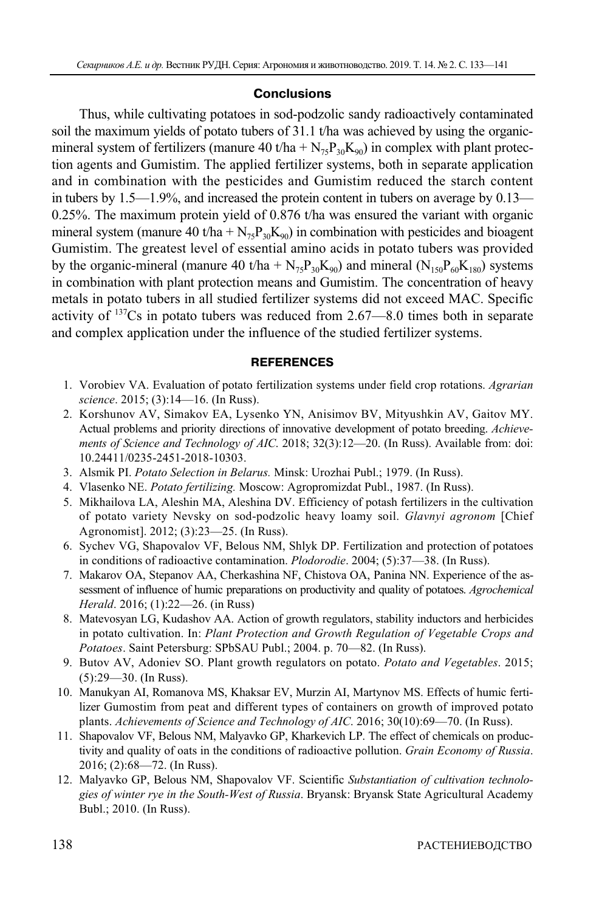## **Conclusions**

Thus, while cultivating potatoes in sod-podzolic sandy radioactively contaminated soil the maximum yields of potato tubers of 31.1 t/ha was achieved by using the organicmineral system of fertilizers (manure 40 t/ha +  $N_{75}P_{30}K_{90}$ ) in complex with plant protection agents and Gumistim. The applied fertilizer systems, both in separate application and in combination with the pesticides and Gumistim reduced the starch content in tubers by 1.5—1.9%, and increased the protein content in tubers on average by 0.13— 0.25%. The maximum protein yield of 0.876 t/ha was ensured the variant with organic mineral system (manure 40 t/ha +  $N_{75}P_{30}K_{90}$ ) in combination with pesticides and bioagent Gumistim. The greatest level of essential amino acids in potato tubers was provided by the organic-mineral (manure 40 t/ha +  $N_{75}P_{30}K_{90}$ ) and mineral ( $N_{150}P_{60}K_{180}$ ) systems in combination with plant protection means and Gumistim. The concentration of heavy metals in potato tubers in all studied fertilizer systems did not exceed MAC. Specific activity of  $137Cs$  in potato tubers was reduced from 2.67—8.0 times both in separate and complex application under the influence of the studied fertilizer systems.

## **REFERENCES**

- 1. Vorobiev VA. Evaluation of potato fertilization systems under field crop rotations. *Agrarian science*. 2015; (3):14—16. (In Russ).
- 2. Korshunov AV, Simakov EA, Lysenko YN, Anisimov BV, Mityushkin AV, Gaitov MY. Actual problems and priority directions of innovative development of potato breeding. *Achievements of Science and Technology of AIC*. 2018; 32(3):12—20. (In Russ). Available from: doi: 10.24411/0235-2451-2018-10303.
- 3. Alsmik PI. *Potato Selection in Belarus.* Minsk: Urozhai Publ.; 1979. (In Russ).
- 4. Vlasenko NE. *Potato fertilizing.* Moscow: Agropromizdat Publ., 1987. (In Russ).
- 5. Mikhailova LA, Aleshin MA, Aleshina DV. Efficiency of potash fertilizers in the cultivation of potato variety Nevsky on sod-podzolic heavy loamy soil. *Glavnyi agronom* [Chief Agronomist]. 2012; (3):23—25. (In Russ).
- 6. Sychev VG, Shapovalov VF, Belous NM, Shlyk DP. Fertilization and protection of potatoes in conditions of radioactive contamination. *Plodorodie*. 2004; (5):37—38. (In Russ).
- 7. Makarov OA, Stepanov AA, Cherkashina NF, Chistova OA, Panina NN. Experience of the assessment of influence of humic preparations on productivity and quality of potatoes. *Agrochemical Herald*. 2016; (1):22—26. (in Russ)
- 8. Matevosyan LG, Kudashov AA. Action of growth regulators, stability inductors and herbicides in potato cultivation. In: *Plant Protection and Growth Regulation of Vegetable Crops and Potatoes*. Saint Petersburg: SPbSAU Publ.; 2004. p. 70—82. (In Russ).
- 9. Butov AV, Adoniev SO. Plant growth regulators on potato. *Potato and Vegetables*. 2015; (5):29—30. (In Russ).
- 10. Manukyan AI, Romanova MS, Khaksar EV, Murzin AI, Martynov MS. Effects of humic fertilizer Gumostim from peat and different types of containers on growth of improved potato plants. *Achievements of Science and Technology of AIC*. 2016; 30(10):69—70. (In Russ).
- 11. Shapovalov VF, Belous NM, Malyavko GP, Kharkevich LP. The effect of chemicals on productivity and quality of oats in the conditions of radioactive pollution. *Grain Economy of Russia*. 2016; (2):68—72. (In Russ).
- 12. Malyavko GP, Belous NM, Shapovalov VF. Scientific *Substantiation of cultivation technologies of winter rye in the South-West of Russia*. Bryansk: Bryansk State Agricultural Academy Bubl.; 2010. (In Russ).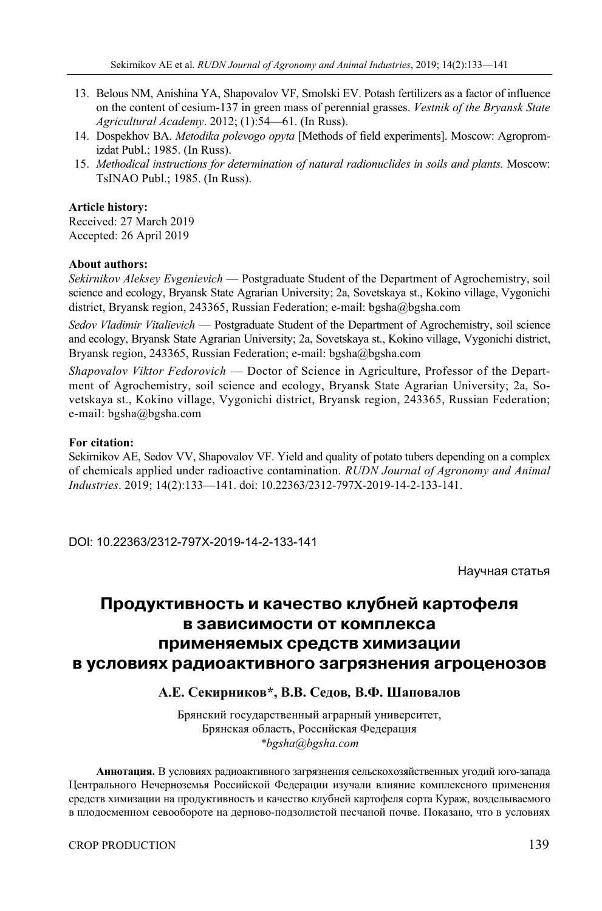- 13. Belous NM, Anishina YA, Shapovalov VF, Smolski EV. Potash fertilizers as a factor of influence on the content of cesium-137 in green mass of perennial grasses. *Vestnik of the Bryansk State Agricultural Academy*. 2012; (1):54—61. (In Russ).
- 14. Dospekhov BA. *Metodika polevogo opyta* [Methods of field experiments]. Moscow: Agropromizdat Publ.; 1985. (In Russ).
- 15. *Methodical instructions for determination of natural radionuclides in soils and plants.* Moscow: TsINAO Publ.; 1985. (In Russ).

#### **Article history:**

Received: 27 March 2019 Accepted: 26 April 2019

#### **About authors:**

*Sekirnikov Aleksey Evgenievich* — Postgraduate Student of the Department of Agrochemistry, soil science and ecology, Bryansk State Agrarian University; 2a, Sovetskaya st., Kokino village, Vygonichi district, Bryansk region, 243365, Russian Federation; e-mail: bgsha@bgsha.com

*Sedov Vladimir Vitalievich* — Postgraduate Student of the Department of Agrochemistry, soil science and ecology, Bryansk State Agrarian University; 2a, Sovetskaya st., Kokino village, Vygonichi district, Bryansk region, 243365, Russian Federation; e-mail: bgsha@bgsha.com

*Shapovalov Viktor Fedorovich* — Doctor of Science in Agriculture, Professor of the Department of Agrochemistry, soil science and ecology, Bryansk State Agrarian University; 2a, Sovetskaya st., Kokino village, Vygonichi district, Bryansk region, 243365, Russian Federation; e-mail: bgsha@bgsha.com

#### **For citation:**

Sekirnikov AE, Sedov VV, Shapovalov VF. Yield and quality of potato tubers depending on a complex of chemicals applied under radioactive contamination. *RUDN Journal of Agronomy and Animal Industries*. 2019; 14(2):133—141. doi: 10.22363/2312-797X-2019-14-2-133-141.

DOI: 10.22363/2312-797X-2019-14-2-133-141

Научная статья

## **Продуктивность и качество клубней картофеля в зависимости от комплекса применяемых средств химизации в условиях радиоактивного загрязнения агроценозов**

## **А.Е. Секирников\*, В.В. Седов***,* **В.Ф. Шаповалов**

Брянский государственный аграрный университет, Брянская область, Российская Федерация *\*bgsha@bgsha.com*

**Аннотация.** В условиях радиоактивного загрязнения сельскохозяйственных угодий юго-запада Центрального Нечерноземья Российской Федерации изучали влияние комплексного применения средств химизации на продуктивность и качество клубней картофеля сорта Кураж, возделываемого в плодосменном севообороте на дерново-подзолистой песчаной почве. Показано, что в условиях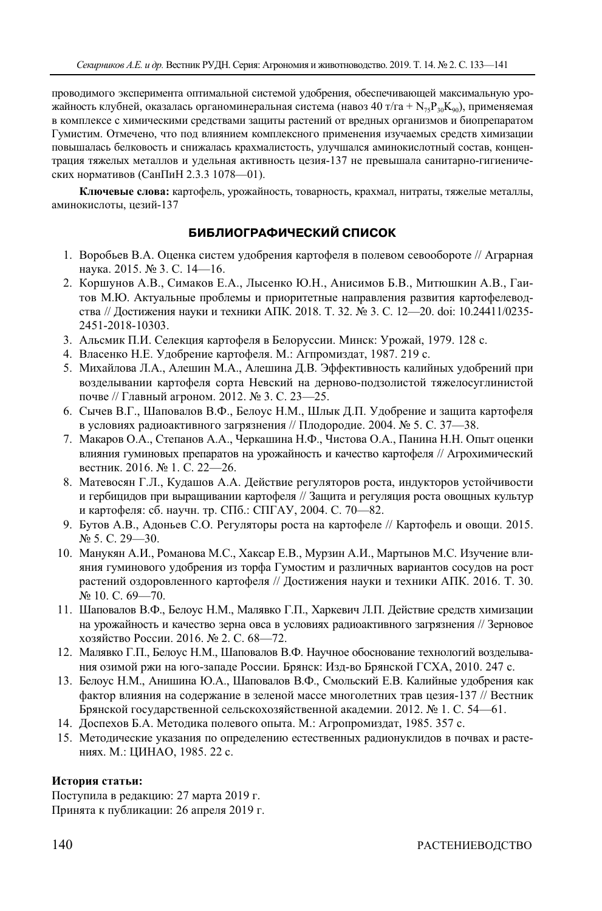проводимого эксперимента оптимальной системой удобрения, обеспечивающей максимальную урожайность клубней, оказалась органоминеральная система (навоз 40 т/га + N<sub>75</sub>P<sub>30</sub>K<sub>90</sub>), применяемая в комплексе с химическими средствами защиты растений от вредных организмов и биопрепаратом Гумистим. Отмечено, что под влиянием комплексного применения изучаемых средств химизации повышалась белковость и снижалась крахмалистость, улучшался аминокислотный состав, концентрация тяжелых металлов и удельная активность цезия-137 не превышала санитарно-гигиенических нормативов (СанПиН 2.3.3 1078—01).

**Ключевые слова:** картофель, урожайность, товарность, крахмал, нитраты, тяжелые металлы, аминокислоты, цезий-137

## **БИБЛИОГРАФИЧЕСКИЙ СПИСОК**

- 1. Воробьев В.А. Оценка систем удобрения картофеля в полевом севообороте // Аграрная наука. 2015. № 3. С. 14—16.
- 2. Коршунов А.В., Симаков Е.А., Лысенко Ю.Н., Анисимов Б.В., Митюшкин А.В., Гаитов М.Ю. Актуальные проблемы и приоритетные направления развития картофелеводства // Достижения науки и техники АПК. 2018. Т. 32. № 3. С. 12—20. doi: 10.24411/0235- 2451-2018-10303.
- 3. Альсмик П.И. Селекция картофеля в Белоруссии. Минск: Урожай, 1979. 128 с.
- 4. Власенко Н.Е. Удобрение картофеля. М.: Агпромиздат, 1987. 219 с.
- 5. Михайлова Л.A., Алешин М.A., Алешина Д.В. Эффективность калийных удобрений при возделывании картофеля сорта Невский на дерново-подзолистой тяжелосуглинистой почве // Главный агроном. 2012. № 3. С. 23—25.
- 6. Сычев В.Г., Шаповалов В.Ф., Белоус Н.М., Шлык Д.П. Удобрение и защита картофеля в условиях радиоактивного загрязнения // Плодородие. 2004. № 5. С. 37—38.
- 7. Макаров О.А., Степанов А.А., Черкашина Н.Ф., Чистова О.А., Панина Н.Н. Опыт оценки влияния гуминовых препаратов на урожайность и качество картофеля // Агрохимический вестник. 2016. № 1. С. 22—26.
- 8. Матевосян Г.Л., Кудашов А.А. Действие регуляторов роста, индукторов устойчивости и гербицидов при выращивании картофеля // Защита и регуляция роста овощных культур и картофеля: сб. научн. тр. СПб.: СПГАУ, 2004. С. 70—82.
- 9. Бутов А.В., Адоньев С.О. Регуляторы роста на картофеле // Картофель и овощи. 2015. № 5. С. 29—30.
- 10. Манукян А.И., Романова М.С., Хаксар Е.В., Мурзин А.И., Мартынов М.С. Изучение влияния гуминового удобрения из торфа Гумостим и различных вариантов сосудов на рост растений оздоровленного картофеля // Достижения науки и техники АПК. 2016. Т. 30. № 10. С. 69—70.
- 11. Шаповалов В.Ф., Белоус Н.М., Малявко Г.П., Харкевич Л.П. Действие средств химизации на урожайность и качество зерна овса в условиях радиоактивного загрязнения // Зерновое хозяйство России. 2016. № 2. С. 68—72.
- 12. Малявко Г.П., Белоус Н.М., Шаповалов В.Ф. Научное обоснование технологий возделывания озимой ржи на юго-западе России. Брянск: Изд-во Брянской ГСХА, 2010. 247 с.
- 13. Белоус Н.М., Анишина Ю.А., Шаповалов В.Ф., Смольский Е.В. Калийные удобрения как фактор влияния на содержание в зеленой массе многолетних трав цезия-137 // Вестник Брянской государственной сельскохозяйственной академии. 2012. № 1. С. 54—61.
- 14. Доспехов Б.А. Методика полевого опыта. М.: Агропромиздат, 1985. 357 с.
- 15. Методические указания по определению естественных радионуклидов в почвах и растениях. М.: ЦИНАО, 1985. 22 с.

#### **История статьи:**

Поступила в редакцию: 27 марта 2019 г. Принята к публикации: 26 апреля 2019 г.